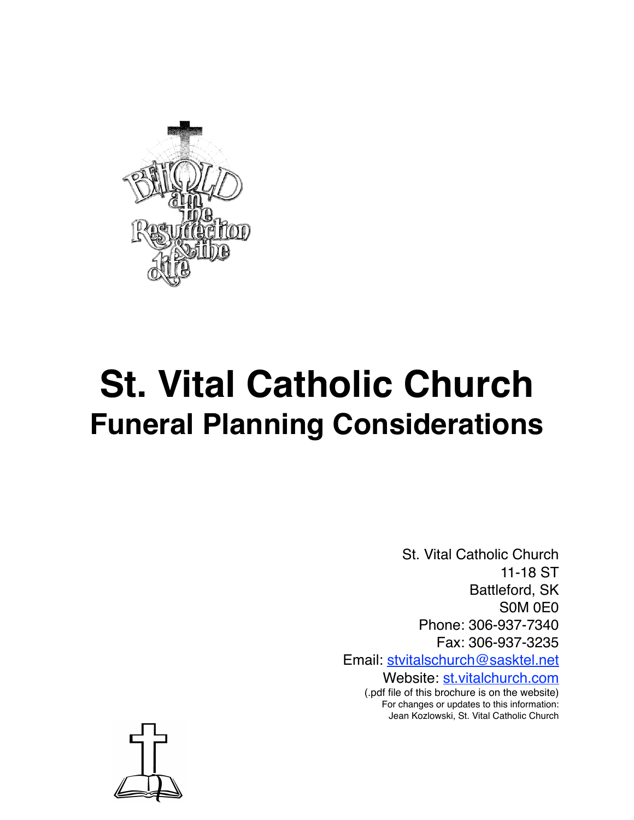

# **St. Vital Catholic Church Funeral Planning Considerations**

St. Vital Catholic Church 11-18 ST Battleford, SK S0M 0E0 Phone: 306-937-7340 Fax: 306-937-3235 Email: [stvitalschurch@sasktel.net](mailto:stvitalschurch@sasktel.net)

Website: [st.vitalchurch.com](http://st.vitalchurch.com) (.pdf file of this brochure is on the website) For changes or updates to this information: Jean Kozlowski, St. Vital Catholic Church

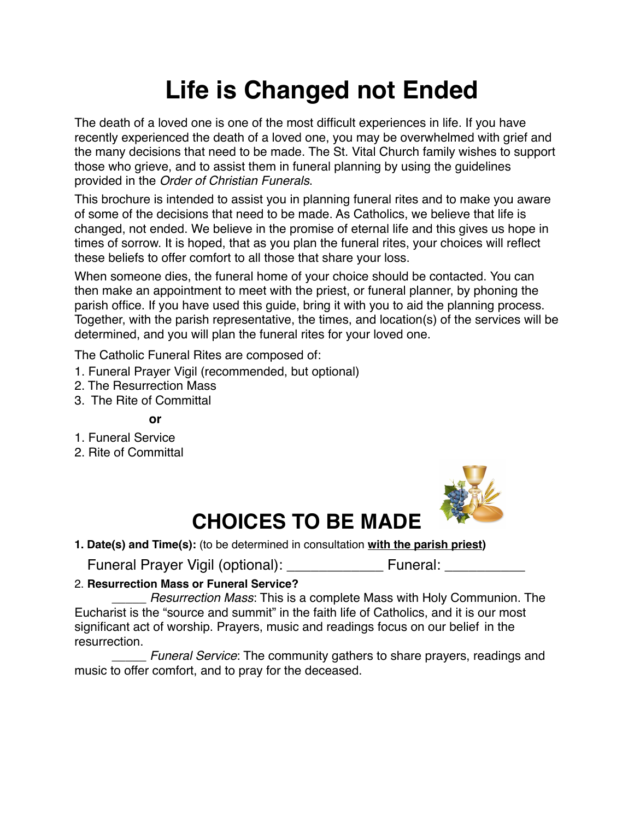# **Life is Changed not Ended**

The death of a loved one is one of the most difficult experiences in life. If you have recently experienced the death of a loved one, you may be overwhelmed with grief and the many decisions that need to be made. The St. Vital Church family wishes to support those who grieve, and to assist them in funeral planning by using the guidelines provided in the *Order of Christian Funerals*.

This brochure is intended to assist you in planning funeral rites and to make you aware of some of the decisions that need to be made. As Catholics, we believe that life is changed, not ended. We believe in the promise of eternal life and this gives us hope in times of sorrow. It is hoped, that as you plan the funeral rites, your choices will reflect these beliefs to offer comfort to all those that share your loss.

When someone dies, the funeral home of your choice should be contacted. You can then make an appointment to meet with the priest, or funeral planner, by phoning the parish office. If you have used this guide, bring it with you to aid the planning process. Together, with the parish representative, the times, and location(s) of the services will be determined, and you will plan the funeral rites for your loved one.

The Catholic Funeral Rites are composed of:

- 1. Funeral Prayer Vigil (recommended, but optional)
- 2. The Resurrection Mass
- 3. The Rite of Committal

**or**

- 1. Funeral Service
- 2. Rite of Committal



# **CHOICES TO BE MADE**

**1. Date(s) and Time(s):** (to be determined in consultation **with the parish priest)** 

Funeral Prayer Vigil (optional): \_\_\_\_\_\_\_\_\_\_\_\_ Funeral: \_\_\_\_\_\_\_\_\_\_

#### 2. **Resurrection Mass or Funeral Service?**

\_\_\_\_\_ *Resurrection Mass*: This is a complete Mass with Holy Communion. The Eucharist is the "source and summit" in the faith life of Catholics, and it is our most significant act of worship. Prayers, music and readings focus on our belief in the resurrection.

\_\_\_\_\_ *Funeral Service*: The community gathers to share prayers, readings and music to offer comfort, and to pray for the deceased.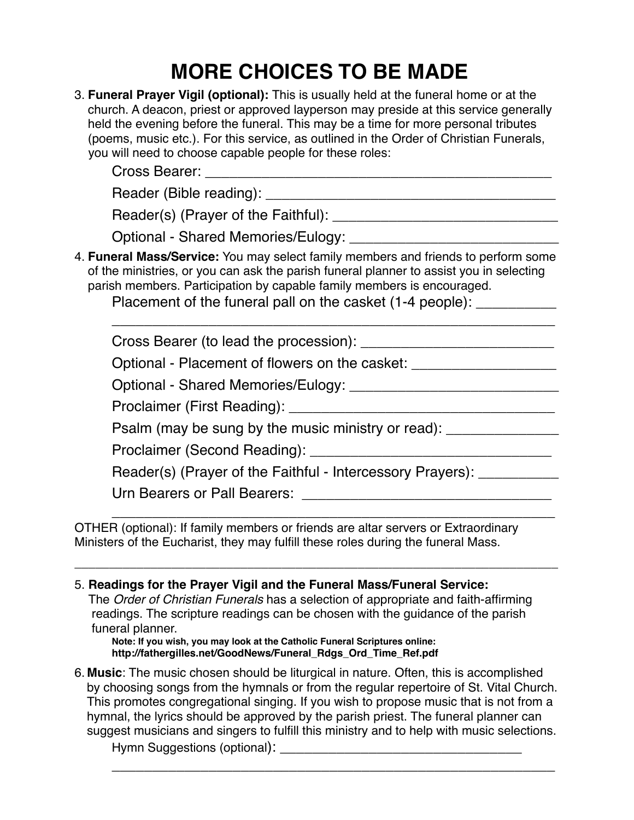# **MORE CHOICES TO BE MADE**

| 3. Funeral Prayer Vigil (optional): This is usually held at the funeral home or at the<br>church. A deacon, priest or approved layperson may preside at this service generally<br>held the evening before the funeral. This may be a time for more personal tributes<br>(poems, music etc.). For this service, as outlined in the Order of Christian Funerals,<br>you will need to choose capable people for these roles: |
|---------------------------------------------------------------------------------------------------------------------------------------------------------------------------------------------------------------------------------------------------------------------------------------------------------------------------------------------------------------------------------------------------------------------------|
|                                                                                                                                                                                                                                                                                                                                                                                                                           |
|                                                                                                                                                                                                                                                                                                                                                                                                                           |
| 4. Funeral Mass/Service: You may select family members and friends to perform some<br>of the ministries, or you can ask the parish funeral planner to assist you in selecting<br>parish members. Participation by capable family members is encouraged.<br>Placement of the funeral pall on the casket (1-4 people): ____________                                                                                         |
|                                                                                                                                                                                                                                                                                                                                                                                                                           |
| Optional - Placement of flowers on the casket: _________________________________                                                                                                                                                                                                                                                                                                                                          |
|                                                                                                                                                                                                                                                                                                                                                                                                                           |
|                                                                                                                                                                                                                                                                                                                                                                                                                           |
| Psalm (may be sung by the music ministry or read): ___________                                                                                                                                                                                                                                                                                                                                                            |
|                                                                                                                                                                                                                                                                                                                                                                                                                           |
| Reader(s) (Prayer of the Faithful - Intercessory Prayers): _____________________                                                                                                                                                                                                                                                                                                                                          |
| Urn Bearers or Pall Bearers:                                                                                                                                                                                                                                                                                                                                                                                              |

OTHER (optional): If family members or friends are altar servers or Extraordinary Ministers of the Eucharist, they may fulfill these roles during the funeral Mass.

5. **Readings for the Prayer Vigil and the Funeral Mass/Funeral Service:** 

The *Order of Christian Funerals* has a selection of appropriate and faith-affirming readings. The scripture readings can be chosen with the guidance of the parish funeral planner.

\_\_\_\_\_\_\_\_\_\_\_\_\_\_\_\_\_\_\_\_\_\_\_\_\_\_\_\_\_\_\_\_\_\_\_\_\_\_\_\_\_\_\_\_\_\_\_\_\_\_\_\_\_\_\_\_\_\_\_\_\_\_\_\_\_\_\_\_\_\_

**Note: If you wish, you may look at the Catholic Funeral Scriptures online: http://fathergilles.net/GoodNews/Funeral\_Rdgs\_Ord\_Time\_Ref.pdf**

6. **Music**: The music chosen should be liturgical in nature. Often, this is accomplished by choosing songs from the hymnals or from the regular repertoire of St. Vital Church. This promotes congregational singing. If you wish to propose music that is not from a hymnal, the lyrics should be approved by the parish priest. The funeral planner can suggest musicians and singers to fulfill this ministry and to help with music selections.

\_\_\_\_\_\_\_\_\_\_\_\_\_\_\_\_\_\_\_\_\_\_\_\_\_\_\_\_\_\_\_\_\_\_\_\_\_\_\_\_\_\_\_\_\_\_\_\_\_\_\_\_\_\_\_

Hymn Suggestions (optional):